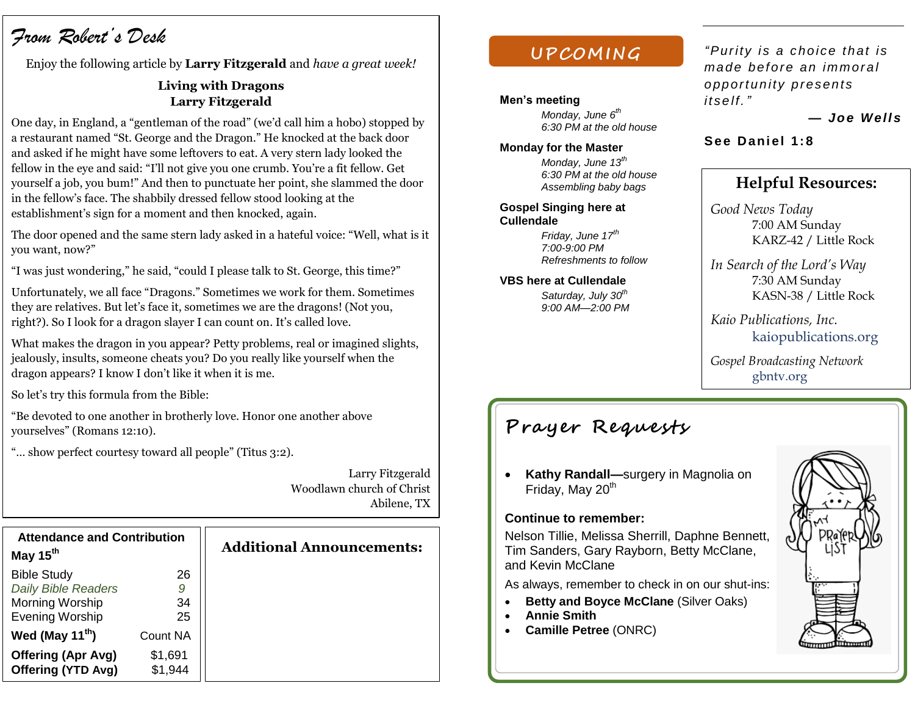# *From Robert's Desk*

Enjoy the following article by **Larry Fitzgerald** and *have a great week!*

## **Living with Dragons Larry Fitzgerald**

One day, in England, a "gentleman of the road" (we'd call him a hobo) stopped by a restaurant named "St. George and the Dragon." He knocked at the back door and asked if he might have some leftovers to eat. A very stern lady looked the fellow in the eye and said: "I'll not give you one crumb. You're a fit fellow. Get yourself a job, you bum!" And then to punctuate her point, she slammed the door in the fellow's face. The shabbily dressed fellow stood looking at the establishment's sign for a moment and then knocked, again.

The door opened and the same stern lady asked in a hateful voice: "Well, what is it you want, now?"

"I was just wondering," he said, "could I please talk to St. George, this time?"

Unfortunately, we all face "Dragons." Sometimes we work for them. Sometimes they are relatives. But let's face it, sometimes we are the dragons! (Not you, right?). So I look for a dragon slayer I can count on. It's called love.

What makes the dragon in you appear? Petty problems, real or imagined slights, jealously, insults, someone cheats you? Do you really like yourself when the dragon appears? I know I don't like it when it is me.

So let's try this formula from the Bible:

"Be devoted to one another in brotherly love. Honor one another above yourselves" (Romans 12:10).

"… show perfect courtesy toward all people" (Titus 3:2).

Larry Fitzgerald Woodlawn church of Christ Abilene, TX

| <b>Attendance and Contribution</b> |                 |
|------------------------------------|-----------------|
| May 15 <sup>th</sup>               |                 |
| <b>Bible Study</b>                 | 26              |
| <b>Daily Bible Readers</b>         | 9               |
| Morning Worship                    | 34              |
| <b>Evening Worship</b>             | 25              |
| Wed (May 11 <sup>th</sup> )        | <b>Count NA</b> |
| Offering (Apr Avg)                 | \$1,691         |
| Offering (YTD Avg)                 | \$1,944         |

## **Additional Announcements:**

## **UPCOM ING**

#### **Men's meeting**

*Monday, June 6th 6:30 PM at the old house*

#### **Monday for the Master**

*Monday, June 13 th 6:30 PM at the old house Assembling baby bags* 

#### **Gospel Singing here at Cullendale**

*Friday, June 17th 7:00-9:00 PM Refreshments to follow*

#### **VBS here at Cullendale**

*Saturday, July 30th 9:00 AM—2:00 PM*

## *"Pur ity is a c ho ic e th at is ma de bef ore an immor a l o pp ortu n ity pres ents its e lf."*

*— Joe Well s*

## See Daniel 1:8

## **Helpful Resources:**

*Good News Today* 7:00 AM Sunday KARZ-42 / Little Rock

*In Search of the Lord's Way* 7:30 AM Sunday KASN-38 / Little Rock

*Kaio Publications, Inc.* kaiopublications.org

*Gospel Broadcasting Network* gbntv.org

## **Prayer Requests**

 **Kathy Randall—**surgery in Magnolia on Friday, May 20<sup>th</sup>

### **Continue to remember:**

Nelson Tillie, Melissa Sherrill, Daphne Bennett, Tim Sanders, Gary Rayborn, Betty McClane, and Kevin McClane

As always, remember to check in on our shut-ins:

- **Betty and Boyce McClane (Silver Oaks)**
- **Annie Smith**
- **Camille Petree** (ONRC)